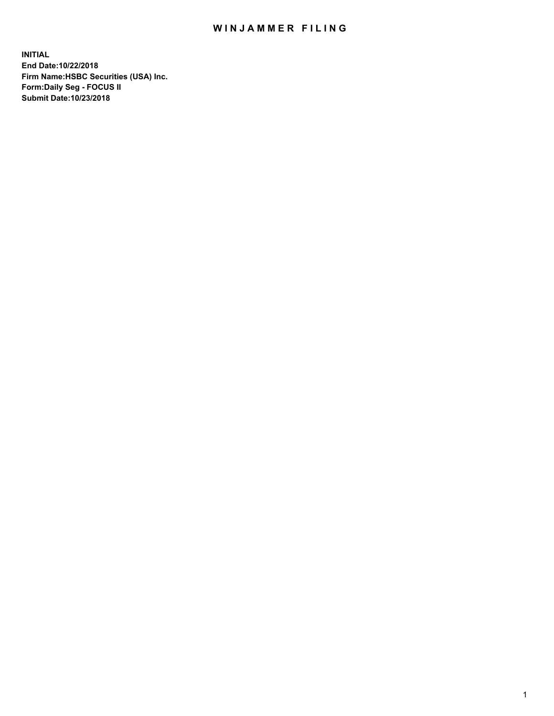## WIN JAMMER FILING

**INITIAL End Date:10/22/2018 Firm Name:HSBC Securities (USA) Inc. Form:Daily Seg - FOCUS II Submit Date:10/23/2018**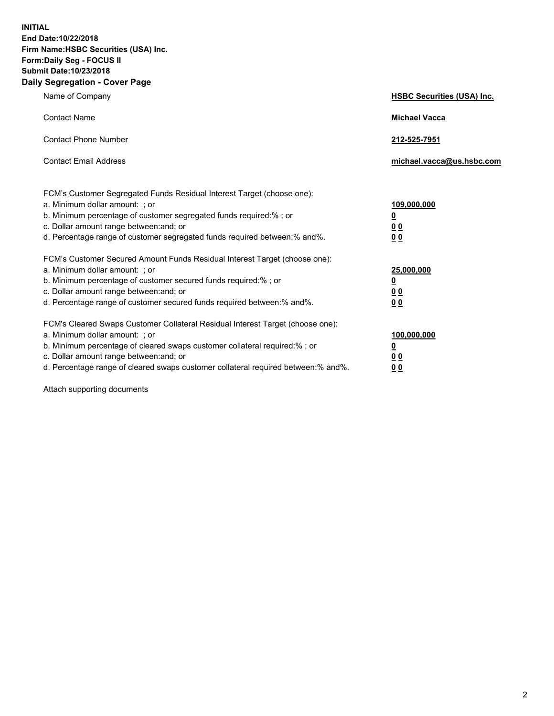**INITIAL End Date:10/22/2018 Firm Name:HSBC Securities (USA) Inc. Form:Daily Seg - FOCUS II Submit Date:10/23/2018 Daily Segregation - Cover Page**

| Name of Company                                                                                                                                                                                                                                                                                                                | <b>HSBC Securities (USA) Inc.</b>                                          |
|--------------------------------------------------------------------------------------------------------------------------------------------------------------------------------------------------------------------------------------------------------------------------------------------------------------------------------|----------------------------------------------------------------------------|
| <b>Contact Name</b>                                                                                                                                                                                                                                                                                                            | <b>Michael Vacca</b>                                                       |
| <b>Contact Phone Number</b>                                                                                                                                                                                                                                                                                                    | 212-525-7951                                                               |
| <b>Contact Email Address</b>                                                                                                                                                                                                                                                                                                   | michael.vacca@us.hsbc.com                                                  |
| FCM's Customer Segregated Funds Residual Interest Target (choose one):<br>a. Minimum dollar amount: : or<br>b. Minimum percentage of customer segregated funds required:% ; or<br>c. Dollar amount range between: and; or<br>d. Percentage range of customer segregated funds required between:% and%.                         | 109,000,000<br>$\overline{\mathbf{0}}$<br>0 <sub>0</sub><br>0 <sub>0</sub> |
| FCM's Customer Secured Amount Funds Residual Interest Target (choose one):<br>a. Minimum dollar amount: ; or<br>b. Minimum percentage of customer secured funds required:%; or<br>c. Dollar amount range between: and; or<br>d. Percentage range of customer secured funds required between:% and%.                            | 25,000,000<br><u>0</u><br>0 <sub>0</sub><br>00                             |
| FCM's Cleared Swaps Customer Collateral Residual Interest Target (choose one):<br>a. Minimum dollar amount: ; or<br>b. Minimum percentage of cleared swaps customer collateral required:% ; or<br>c. Dollar amount range between: and; or<br>d. Percentage range of cleared swaps customer collateral required between:% and%. | 100,000,000<br><u>0</u><br>00<br>0 <sub>0</sub>                            |

Attach supporting documents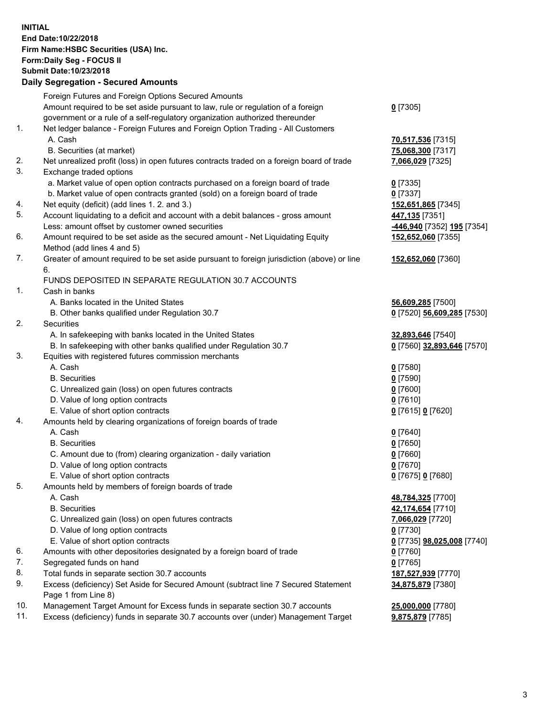**INITIAL End Date:10/22/2018 Firm Name:HSBC Securities (USA) Inc. Form:Daily Seg - FOCUS II Submit Date:10/23/2018 Daily Segregation - Secured Amounts** Foreign Futures and Foreign Options Secured Amounts Amount required to be set aside pursuant to law, rule or regulation of a foreign government or a rule of a self-regulatory organization authorized thereunder **0** [7305] 1. Net ledger balance - Foreign Futures and Foreign Option Trading - All Customers A. Cash **70,517,536** [7315] B. Securities (at market) **75,068,300** [7317] 2. Net unrealized profit (loss) in open futures contracts traded on a foreign board of trade **7,066,029** [7325] 3. Exchange traded options a. Market value of open option contracts purchased on a foreign board of trade **0** [7335] b. Market value of open contracts granted (sold) on a foreign board of trade **0** [7337] 4. Net equity (deficit) (add lines 1. 2. and 3.) **152,651,865** [7345] 5. Account liquidating to a deficit and account with a debit balances - gross amount **447,135** [7351] Less: amount offset by customer owned securities **-446,940** [7352] **195** [7354] 6. Amount required to be set aside as the secured amount - Net Liquidating Equity Method (add lines 4 and 5) **152,652,060** [7355] 7. Greater of amount required to be set aside pursuant to foreign jurisdiction (above) or line 6. **152,652,060** [7360] FUNDS DEPOSITED IN SEPARATE REGULATION 30.7 ACCOUNTS 1. Cash in banks A. Banks located in the United States **56,609,285** [7500] B. Other banks qualified under Regulation 30.7 **0** [7520] **56,609,285** [7530] 2. Securities A. In safekeeping with banks located in the United States **32,893,646** [7540] B. In safekeeping with other banks qualified under Regulation 30.7 **0** [7560] **32,893,646** [7570] 3. Equities with registered futures commission merchants A. Cash **0** [7580] B. Securities **0** [7590] C. Unrealized gain (loss) on open futures contracts **0** [7600] D. Value of long option contracts **0** [7610] E. Value of short option contracts **0** [7615] **0** [7620] 4. Amounts held by clearing organizations of foreign boards of trade A. Cash **0** [7640] B. Securities **0** [7650] C. Amount due to (from) clearing organization - daily variation **0** [7660] D. Value of long option contracts **0** [7670] E. Value of short option contracts **0** [7675] **0** [7680] 5. Amounts held by members of foreign boards of trade A. Cash **48,784,325** [7700] B. Securities **42,174,654** [7710] C. Unrealized gain (loss) on open futures contracts **7,066,029** [7720] D. Value of long option contracts **0** [7730] E. Value of short option contracts **0** [7735] **98,025,008** [7740] 6. Amounts with other depositories designated by a foreign board of trade **0** [7760] 7. Segregated funds on hand **0** [7765]

- 8. Total funds in separate section 30.7 accounts **187,527,939** [7770]
- 9. Excess (deficiency) Set Aside for Secured Amount (subtract line 7 Secured Statement Page 1 from Line 8)
- 10. Management Target Amount for Excess funds in separate section 30.7 accounts **25,000,000** [7780]
- 11. Excess (deficiency) funds in separate 30.7 accounts over (under) Management Target **9,875,879** [7785]

**34,875,879** [7380]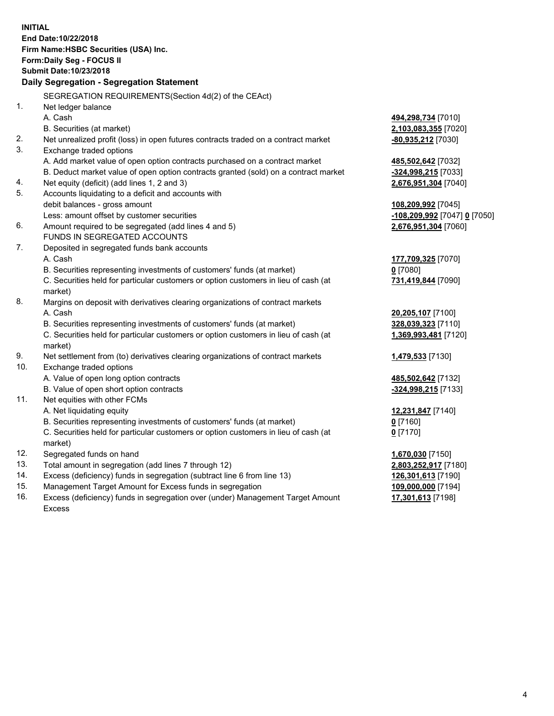**INITIAL End Date:10/22/2018 Firm Name:HSBC Securities (USA) Inc. Form:Daily Seg - FOCUS II Submit Date:10/23/2018 Daily Segregation - Segregation Statement** SEGREGATION REQUIREMENTS(Section 4d(2) of the CEAct) 1. Net ledger balance A. Cash **494,298,734** [7010] B. Securities (at market) **2,103,083,355** [7020] 2. Net unrealized profit (loss) in open futures contracts traded on a contract market **-80,935,212** [7030] 3. Exchange traded options A. Add market value of open option contracts purchased on a contract market **485,502,642** [7032] B. Deduct market value of open option contracts granted (sold) on a contract market **-324,998,215** [7033] 4. Net equity (deficit) (add lines 1, 2 and 3) **2,676,951,304** [7040] 5. Accounts liquidating to a deficit and accounts with debit balances - gross amount **108,209,992** [7045] Less: amount offset by customer securities **-108,209,992** [7047] **0** [7050] 6. Amount required to be segregated (add lines 4 and 5) **2,676,951,304** [7060] FUNDS IN SEGREGATED ACCOUNTS 7. Deposited in segregated funds bank accounts A. Cash **177,709,325** [7070] B. Securities representing investments of customers' funds (at market) **0** [7080] C. Securities held for particular customers or option customers in lieu of cash (at market) **731,419,844** [7090] 8. Margins on deposit with derivatives clearing organizations of contract markets A. Cash **20,205,107** [7100] B. Securities representing investments of customers' funds (at market) **328,039,323** [7110] C. Securities held for particular customers or option customers in lieu of cash (at market) **1,369,993,481** [7120] 9. Net settlement from (to) derivatives clearing organizations of contract markets **1,479,533** [7130] 10. Exchange traded options A. Value of open long option contracts **485,502,642** [7132] B. Value of open short option contracts **-324,998,215** [7133] 11. Net equities with other FCMs A. Net liquidating equity **12,231,847** [7140] B. Securities representing investments of customers' funds (at market) **0** [7160] C. Securities held for particular customers or option customers in lieu of cash (at market) **0** [7170] 12. Segregated funds on hand **1,670,030** [7150] 13. Total amount in segregation (add lines 7 through 12) **2,803,252,917** [7180] 14. Excess (deficiency) funds in segregation (subtract line 6 from line 13) **126,301,613** [7190] 15. Management Target Amount for Excess funds in segregation **109,000,000** [7194] 16. Excess (deficiency) funds in segregation over (under) Management Target Amount **17,301,613** [7198]

Excess